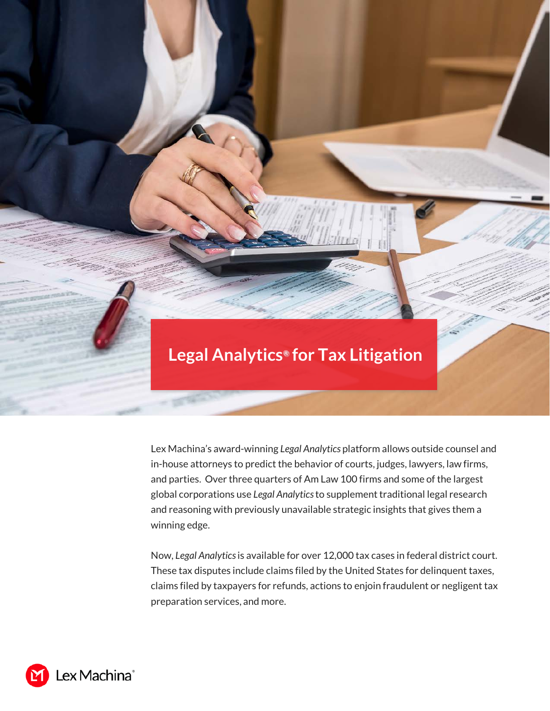

Lex Machina's award-winning *Legal Analytics* platform allows outside counsel and in-house attorneys to predict the behavior of courts, judges, lawyers, law firms, and parties. Over three quarters of Am Law 100 firms and some of the largest global corporations use *Legal Analytics* to supplement traditional legal research and reasoning with previously unavailable strategic insights that gives them a winning edge.

Now, *Legal Analytics* is available for over 12,000 tax cases in federal district court. These tax disputes include claims filed by the United States for delinquent taxes, claims filed by taxpayers for refunds, actions to enjoin fraudulent or negligent tax preparation services, and more.